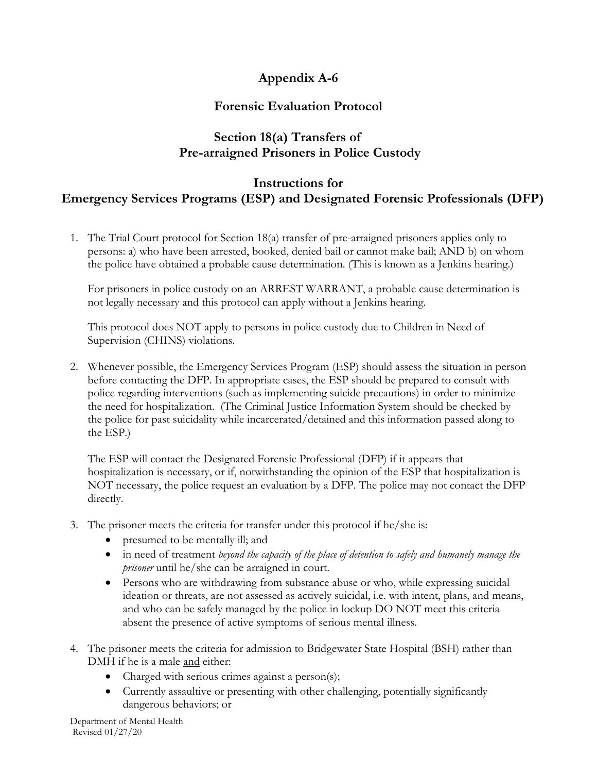## **Appendix A-6**

## **Forensic Evaluation Protocol**

## **Section 18(a) Transfers of Pre-arraigned Prisoners in Police Custody**

## **Instructions for Emergency Services Programs (ESP) and Designated Forensic Professionals (DFP)**

1. The Trial Court protocol for Section 18(a) transfer of pre-arraigned prisoners applies only to persons: a) who have been arrested, booked, denied bail or cannot make bail; AND b) on whom the police have obtained a probable cause determination. (This is known as a Jenkins hearing.)

For prisoners in police custody on an ARREST WARRANT, a probable cause determination is not legally necessary and this protocol can apply without a Jenkins hearing.

This protocol does NOT apply to persons in police custody due to Children in Need of Supervision (CHINS) violations.

2. Whenever possible, the Emergency Services Program (ESP) should assess the situation in person before contacting the DFP. In appropriate cases, the ESP should be prepared to consult with police regarding interventions (such as implementing suicide precautions) in order to minimize the need for hospitalization. (The Criminal Justice Information System should be checked by the police for past suicidality while incarcerated/detained and this information passed along to the ESP.)

The ESP will contact the Designated Forensic Professional (DFP) if it appears that hospitalization is necessary, or if, notwithstanding the opinion of the ESP that hospitalization is NOT necessary, the police request an evaluation by a DFP. The police may not contact the DFP directly.

- 3. The prisoner meets the criteria for transfer under this protocol if he/she is:
	- presumed to be mentally ill; and
	- in need of treatment *beyond the capacity of the place of detention to safely and humanely manage the prisoner* until he/she can be arraigned in court.
	- Persons who are withdrawing from substance abuse or who, while expressing suicidal ideation or threats, are not assessed as actively suicidal, i.e. with intent, plans, and means, and who can be safely managed by the police in lockup DO NOT meet this criteria absent the presence of active symptoms of serious mental illness.
- 4. The prisoner meets the criteria for admission to Bridgewater State Hospital (BSH) rather than DMH if he is a male and either:
	- Charged with serious crimes against a person(s);
	- Currently assaultive or presenting with other challenging, potentially significantly dangerous behaviors; or

Department of Mental Health Revised 01/27/20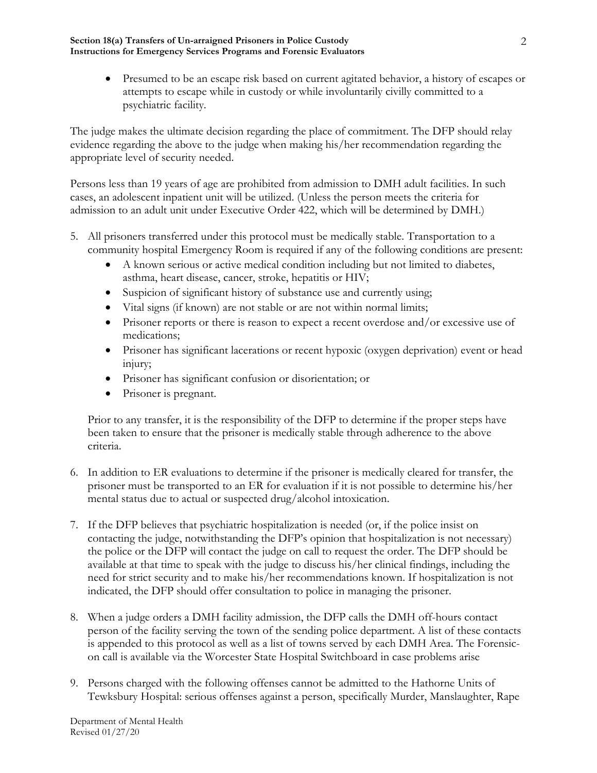**Section 18(a) Transfers of Un-arraigned Prisoners in Police Custody Instructions for Emergency Services Programs and Forensic Evaluators**

> • Presumed to be an escape risk based on current agitated behavior, a history of escapes or attempts to escape while in custody or while involuntarily civilly committed to a psychiatric facility.

The judge makes the ultimate decision regarding the place of commitment. The DFP should relay evidence regarding the above to the judge when making his/her recommendation regarding the appropriate level of security needed.

Persons less than 19 years of age are prohibited from admission to DMH adult facilities. In such cases, an adolescent inpatient unit will be utilized. (Unless the person meets the criteria for admission to an adult unit under Executive Order 422, which will be determined by DMH.)

- 5. All prisoners transferred under this protocol must be medically stable. Transportation to a community hospital Emergency Room is required if any of the following conditions are present:
	- A known serious or active medical condition including but not limited to diabetes, asthma, heart disease, cancer, stroke, hepatitis or HIV;
	- Suspicion of significant history of substance use and currently using;
	- Vital signs (if known) are not stable or are not within normal limits;
	- Prisoner reports or there is reason to expect a recent overdose and/or excessive use of medications;
	- Prisoner has significant lacerations or recent hypoxic (oxygen deprivation) event or head injury;
	- Prisoner has significant confusion or disorientation; or
	- Prisoner is pregnant.

Prior to any transfer, it is the responsibility of the DFP to determine if the proper steps have been taken to ensure that the prisoner is medically stable through adherence to the above criteria.

- 6. In addition to ER evaluations to determine if the prisoner is medically cleared for transfer, the prisoner must be transported to an ER for evaluation if it is not possible to determine his/her mental status due to actual or suspected drug/alcohol intoxication.
- 7. If the DFP believes that psychiatric hospitalization is needed (or, if the police insist on contacting the judge, notwithstanding the DFP's opinion that hospitalization is not necessary) the police or the DFP will contact the judge on call to request the order. The DFP should be available at that time to speak with the judge to discuss his/her clinical findings, including the need for strict security and to make his/her recommendations known. If hospitalization is not indicated, the DFP should offer consultation to police in managing the prisoner.
- 8. When a judge orders a DMH facility admission, the DFP calls the DMH off-hours contact person of the facility serving the town of the sending police department. A list of these contacts is appended to this protocol as well as a list of towns served by each DMH Area. The Forensicon call is available via the Worcester State Hospital Switchboard in case problems arise
- 9. Persons charged with the following offenses cannot be admitted to the Hathorne Units of Tewksbury Hospital: serious offenses against a person, specifically Murder, Manslaughter, Rape